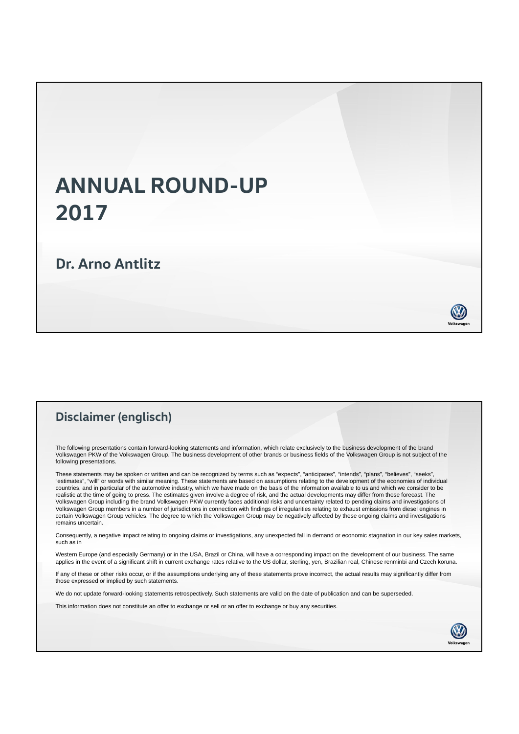## **ANNUAL ROUND-UP 2017**

## **Dr. Arno Antlitz**

## **Disclaimer (englisch)**

The following presentations contain forward-looking statements and information, which relate exclusively to the business development of the brand Volkswagen PKW of the Volkswagen Group. The business development of other brands or business fields of the Volkswagen Group is not subject of the following presentations.

These statements may be spoken or written and can be recognized by terms such as "expects", "anticipates", "intends", "plans", "believes", "seeks", "estimates", "will" or words with similar meaning. These statements are based on assumptions relating to the development of the economies of individual countries, and in particular of the automotive industry, which we have made on the basis of the information available to us and which we consider to be<br>realistic at the time of going to press. The estimates given involve a Volkswagen Group including the brand Volkswagen PKW currently faces additional risks and uncertainty related to pending claims and investigations of Volkswagen Group members in a number of jurisdictions in connection with findings of irregularities relating to exhaust emissions from diesel engines in certain Volkswagen Group vehicles. The degree to which the Volkswagen Group may be negatively affected by these ongoing claims and investigations remains uncertain.

Consequently, a negative impact relating to ongoing claims or investigations, any unexpected fall in demand or economic stagnation in our key sales markets, such as in

Western Europe (and especially Germany) or in the USA, Brazil or China, will have a corresponding impact on the development of our business. The same applies in the event of a significant shift in current exchange rates relative to the US dollar, sterling, yen, Brazilian real, Chinese renminbi and Czech koruna.

If any of these or other risks occur, or if the assumptions underlying any of these statements prove incorrect, the actual results may significantly differ from those expressed or implied by such statements.

We do not update forward-looking statements retrospectively. Such statements are valid on the date of publication and can be superseded.

This information does not constitute an offer to exchange or sell or an offer to exchange or buy any securities.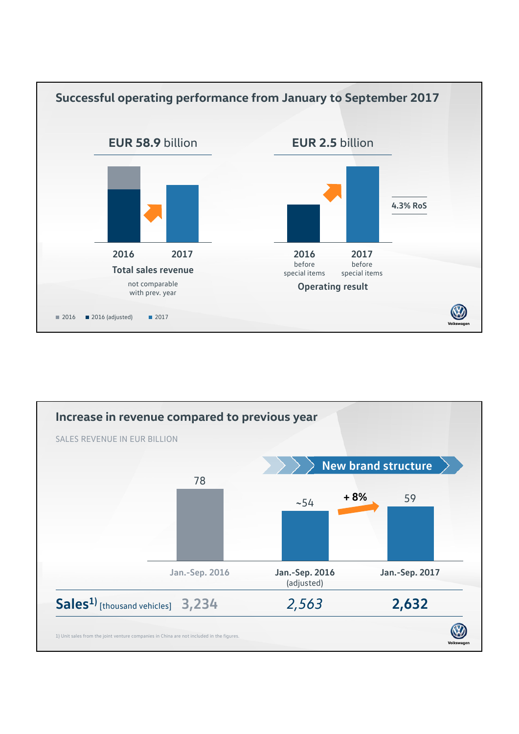

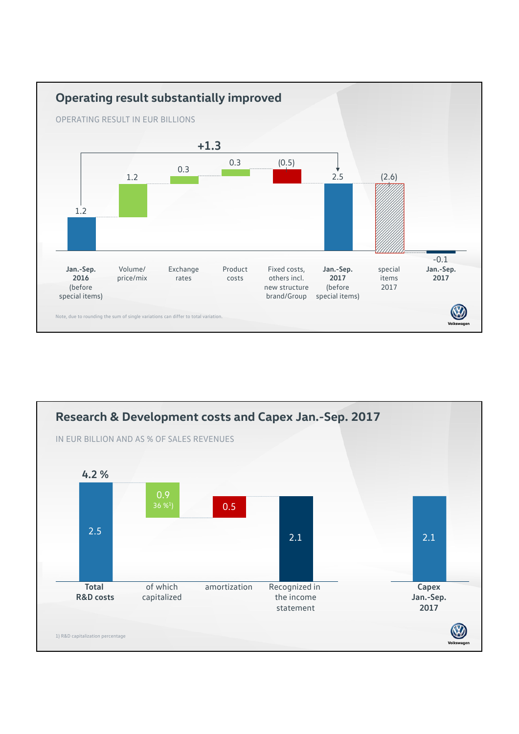

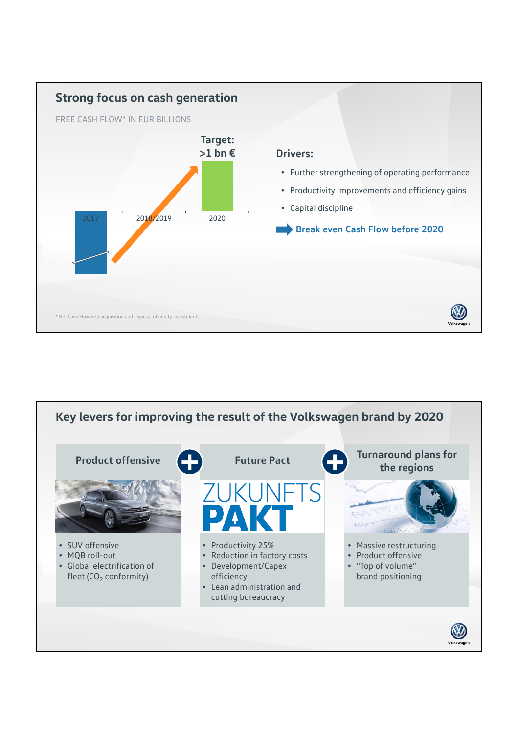